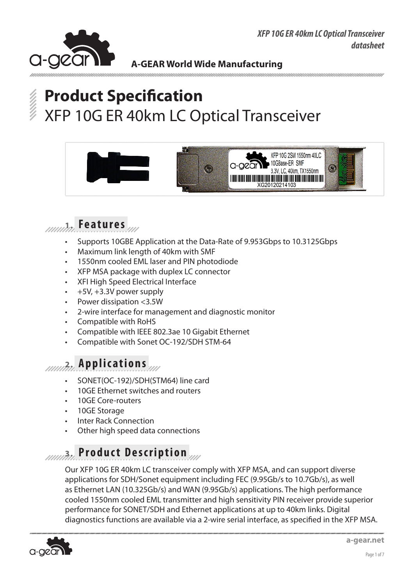*XFP 10G ER 40km LC Optical Transceiver datasheet*



### **A-GEAR World Wide Manufacturing**

# **Product Specification** XFP 10G ER 40km LC Optical Transceiver





- Supports 10GBE Application at the Data-Rate of 9.953Gbps to 10.3125Gbps
- Maximum link length of 40km with SMF
- 1550nm cooled EML laser and PIN photodiode
- XFP MSA package with duplex LC connector
- XFI High Speed Electrical Interface
- $+5V$ ,  $+3.3V$  power supply
- Power dissipation  $<$ 3.5W
- 2-wire interface for management and diagnostic monitor
- Compatible with RoHS
- Compatible with IEEE 802.3ae 10 Gigabit Ethernet
- Compatible with Sonet OC-192/SDH STM-64

## **2. Applications**

- SONET(OC-192)/SDH(STM64) line card
- 10GE Ethernet switches and routers
- 10GE Core-routers
- 10GE Storage
- **Inter Rack Connection**
- Other high speed data connections

## **3. Product Description**

Our XFP 10G ER 40km LC transceiver comply with XFP MSA, and can support diverse applications for SDH/Sonet equipment including FEC (9.95Gb/s to 10.7Gb/s), as well as Ethernet LAN (10.325Gb/s) and WAN (9.95Gb/s) applications. The high performance cooled 1550nm cooled EML transmitter and high sensitivity PIN receiver provide superior performance for SONET/SDH and Ethernet applications at up to 40km links. Digital diagnostics functions are available via a 2-wire serial interface, as specified in the XFP MSA.

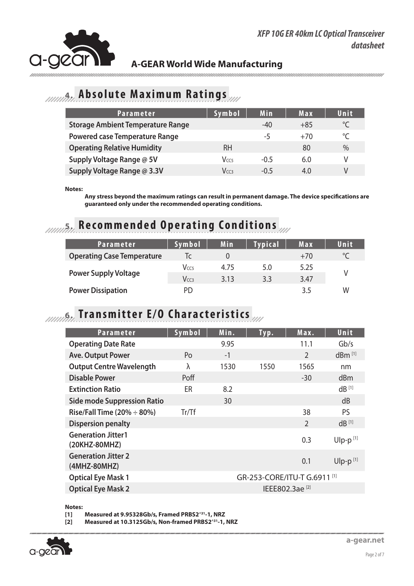

### **4. Absolute Maximum Ratings**

| Parameter                                | Symbol           | Min    | Max   | Unit        |
|------------------------------------------|------------------|--------|-------|-------------|
| <b>Storage Ambient Temperature Range</b> |                  | $-40$  | $+85$ | $^{\circ}C$ |
| <b>Powered case Temperature Range</b>    |                  | -5     | $+70$ | $^{\circ}C$ |
| <b>Operating Relative Humidity</b>       | RH               |        | 80    | $\%$        |
| Supply Voltage Range @ 5V                | V <sub>CC5</sub> | $-0.5$ | 6.0   | V           |
| Supply Voltage Range @ 3.3V              | Vcc3             | $-0.5$ | 4.0   | V           |

**Notes:**

**Any stress beyond the maximum ratings can result in permanent damage. The device specifications are guaranteed only under the recommended operating conditions.**

## **5. Recommended Operating Conditions**

| Parameter                         | Symbol           | Min  | <b>Typical</b> | Max   | Unit    |
|-----------------------------------|------------------|------|----------------|-------|---------|
| <b>Operating Case Temperature</b> | Ic               |      |                | $+70$ | $\circ$ |
|                                   | V <sub>CC5</sub> | 4.75 | 5.0            | 5.25  |         |
| <b>Power Supply Voltage</b>       | Vccз             | 3.13 | 3.3            | 3.47  |         |
| <b>Power Dissipation</b>          | PD               |      |                | 3.5   | W       |

## **6. Transmitter E/O Characteristics**

| <b>Parameter</b>                           | Symbol           | Min. | Typ.                         | Max.                       | Unit                 |
|--------------------------------------------|------------------|------|------------------------------|----------------------------|----------------------|
| <b>Operating Date Rate</b>                 |                  | 9.95 |                              | 11.1                       | Gb/s                 |
| <b>Ave. Output Power</b>                   | Po               | $-1$ |                              | $\mathfrak{D}$             | $dBm$ <sup>[1]</sup> |
| <b>Output Centre Wavelength</b>            | λ                | 1530 | 1550                         | 1565                       | nm                   |
| <b>Disable Power</b>                       | Poff             |      |                              | $-30$                      | dBm                  |
| <b>Extinction Ratio</b>                    | ER               | 8.2  |                              |                            | $dB$ <sup>[1]</sup>  |
| <b>Side mode Suppression Ratio</b>         |                  | 30   |                              |                            | dB                   |
| Rise/Fall Time (20% $\div$ 80%)            | $Tr/\mathsf{T}f$ |      |                              | 38                         | <b>PS</b>            |
| <b>Dispersion penalty</b>                  |                  |      |                              | $\mathfrak{D}$             | $dB^{[1]}$           |
| <b>Generation Jitter1</b><br>(20KHZ-80MHZ) |                  |      |                              | 0.3                        | $U$ lp-p $[1]$       |
| <b>Generation Jitter 2</b><br>(4MHZ-80MHZ) |                  |      |                              | 0.1                        | $U$ lp-p $[1]$       |
| <b>Optical Eye Mask 1</b>                  |                  |      | GR-253-CORE/ITU-T G.6911 [1] |                            |                      |
| <b>Optical Eye Mask 2</b>                  |                  |      |                              | IEEE802.3ae <sup>[2]</sup> |                      |

**Notes:**

**[1] Measured at 9.95328Gb/s, Framed PRBS2^31-1, NRZ**

**[2] Measured at 10.3125Gb/s, Non-framed PRBS2^31-1, NRZ**

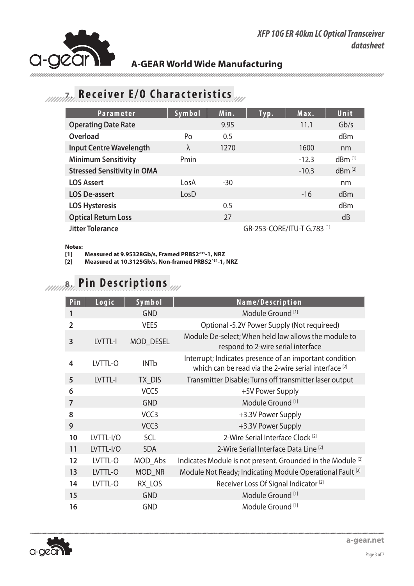

### *7.1.1.1. Receiver E/O Characteristics*

| <b>Parameter</b>                   | Symbol    | Min. | Typ.                        | Max.    | Unit                 |
|------------------------------------|-----------|------|-----------------------------|---------|----------------------|
| <b>Operating Date Rate</b>         |           | 9.95 |                             | 11.1    | Gb/s                 |
| Overload                           | Po        | 0.5  |                             |         | dBm                  |
| <b>Input Centre Wavelength</b>     | $\lambda$ | 1270 |                             | 1600    | nm                   |
| <b>Minimum Sensitivity</b>         | Pmin      |      |                             | $-12.3$ | $dBm$ <sup>[1]</sup> |
| <b>Stressed Sensitivity in OMA</b> |           |      |                             | $-10.3$ | dBm <sup>[2]</sup>   |
| <b>LOS Assert</b>                  | LosA      | -30  |                             |         | nm                   |
| <b>LOS De-assert</b>               | LosD      |      |                             | $-16$   | dBm                  |
| <b>LOS Hysteresis</b>              |           | 0.5  |                             |         | dBm                  |
| <b>Optical Return Loss</b>         |           | 27   |                             |         | dB                   |
| <b>Jitter Tolerance</b>            |           |      | GR-253-CORE/ITU-T G.783 [1] |         |                      |

#### **Notes:**

**[1] Measured at 9.95328Gb/s, Framed PRBS2^31-1, NRZ**

**[2] Measured at 10.3125Gb/s, Non-framed PRBS2^31-1, NRZ**

## **8. Pin Descriptions**

| Pin            | Logic     | Symbol           | Name/Description                                                                                                 |
|----------------|-----------|------------------|------------------------------------------------------------------------------------------------------------------|
| 1              |           | <b>GND</b>       | Module Ground <sup>[1]</sup>                                                                                     |
| $\overline{2}$ |           | VEE <sub>5</sub> | Optional -5.2V Power Supply (Not requireed)                                                                      |
| 3              | LVTTL-I   | <b>MOD DESEL</b> | Module De-select; When held low allows the module to<br>respond to 2-wire serial interface                       |
| 4              | LVTTL-O   | <b>INTb</b>      | Interrupt; Indicates presence of an important condition<br>which can be read via the 2-wire serial interface [2] |
| 5              | LVTTL-I   | TX_DIS           | Transmitter Disable; Turns off transmitter laser output                                                          |
| 6              |           | VCC <sub>5</sub> | +5V Power Supply                                                                                                 |
| 7              |           | <b>GND</b>       | Module Ground <sup>[1]</sup>                                                                                     |
| 8              |           | VCC <sub>3</sub> | +3.3V Power Supply                                                                                               |
| 9              |           | VCC <sub>3</sub> | +3.3V Power Supply                                                                                               |
| 10             | LVTTL-I/O | <b>SCL</b>       | 2-Wire Serial Interface Clock <sup>[2]</sup>                                                                     |
| 11             | LVTTL-I/O | <b>SDA</b>       | 2-Wire Serial Interface Data Line <sup>[2]</sup>                                                                 |
| 12             | LVTTL-O   | MOD_Abs          | Indicates Module is not present. Grounded in the Module [2]                                                      |
| 13             | LVTTL-O   | MOD_NR           | Module Not Ready; Indicating Module Operational Fault <sup>[2]</sup>                                             |
| 14             | LVTTL-O   | RX LOS           | Receiver Loss Of Signal Indicator <sup>[2]</sup>                                                                 |
| 15             |           | <b>GND</b>       | Module Ground <sup>[1]</sup>                                                                                     |
| 16             |           | <b>GND</b>       | Module Ground <sup>[1]</sup>                                                                                     |

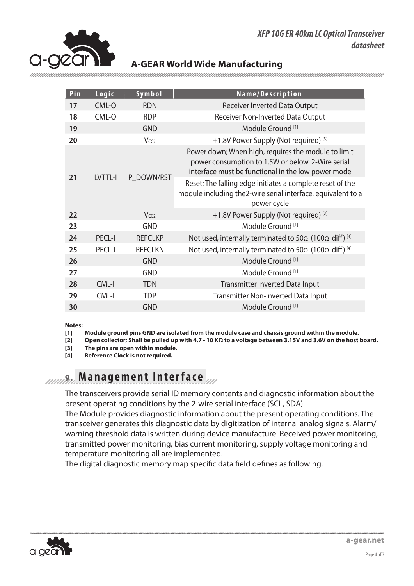



| Pin | Logic         | Symbol                 | Name/Description                                                                                                                                               |  |  |  |  |
|-----|---------------|------------------------|----------------------------------------------------------------------------------------------------------------------------------------------------------------|--|--|--|--|
| 17  | CML-O         | <b>RDN</b>             | <b>Receiver Inverted Data Output</b>                                                                                                                           |  |  |  |  |
| 18  | CML-O         | <b>RDP</b>             | Receiver Non-Inverted Data Output                                                                                                                              |  |  |  |  |
| 19  |               | <b>GND</b>             | Module Ground <sup>[1]</sup>                                                                                                                                   |  |  |  |  |
| 20  |               | <b>Vcc<sub>2</sub></b> | +1.8V Power Supply (Not required) [3]                                                                                                                          |  |  |  |  |
| 21  | LVTTL-I       | P DOWN/RST             | Power down; When high, requires the module to limit<br>power consumption to 1.5W or below. 2-Wire serial<br>interface must be functional in the low power mode |  |  |  |  |
|     |               |                        | Reset; The falling edge initiates a complete reset of the<br>module including the2-wire serial interface, equivalent to a<br>power cycle                       |  |  |  |  |
| 22  |               | V <sub>CC2</sub>       | +1.8V Power Supply (Not required) <sup>[3]</sup>                                                                                                               |  |  |  |  |
|     |               |                        |                                                                                                                                                                |  |  |  |  |
| 23  |               | <b>GND</b>             | Module Ground [1]                                                                                                                                              |  |  |  |  |
| 24  | <b>PECL-I</b> | <b>REFCLKP</b>         | Not used, internally terminated to 50 $\Omega$ (100 $\Omega$ diff) [4]                                                                                         |  |  |  |  |
| 25  | <b>PECL-I</b> | <b>REFCLKN</b>         | Not used, internally terminated to 50 $\Omega$ (100 $\Omega$ diff) [4]                                                                                         |  |  |  |  |
| 26  |               | <b>GND</b>             | Module Ground <sup>[1]</sup>                                                                                                                                   |  |  |  |  |
| 27  |               | <b>GND</b>             | Module Ground <sup>[1]</sup>                                                                                                                                   |  |  |  |  |
| 28  | CML-I         | <b>TDN</b>             | Transmitter Inverted Data Input                                                                                                                                |  |  |  |  |
| 29  | CML-I         | <b>TDP</b>             | <b>Transmitter Non-Inverted Data Input</b>                                                                                                                     |  |  |  |  |

**Notes:**

**[1] Module ground pins GND are isolated from the module case and chassis ground within the module.**

**[2] Open collector; Shall be pulled up with 4.7 - 10 KΩ to a voltage between 3.15V and 3.6V on the host board.**

**[3] The pins are open within module.**

**[4] Reference Clock is not required.**

### **9. Management Interface**

The transceivers provide serial ID memory contents and diagnostic information about the present operating conditions by the 2-wire serial interface (SCL, SDA).

The Module provides diagnostic information about the present operating conditions. The transceiver generates this diagnostic data by digitization of internal analog signals. Alarm/ warning threshold data is written during device manufacture. Received power monitoring, transmitted power monitoring, bias current monitoring, supply voltage monitoring and temperature monitoring all are implemented.

The digital diagnostic memory map specific data field defines as following.

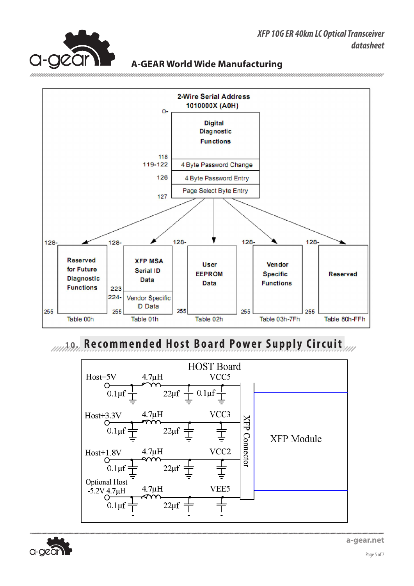

#### **XFP 10GB A-GEAR World Wide Manufacturing**



**10. Recommended Host Board Power Supply Circuit**



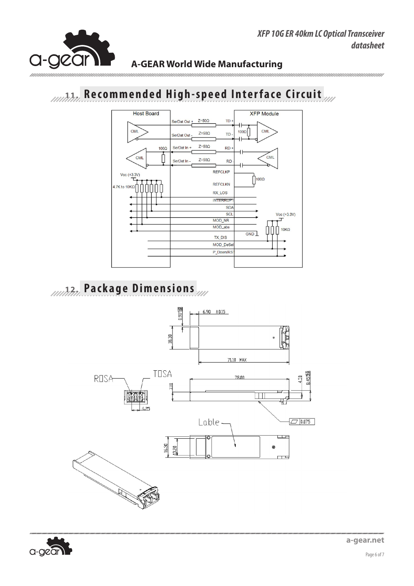

# **11. Recommended High-speed Interface Circuit Recommended High-speed Interface Circuit**



### **12. Package Dimensions**